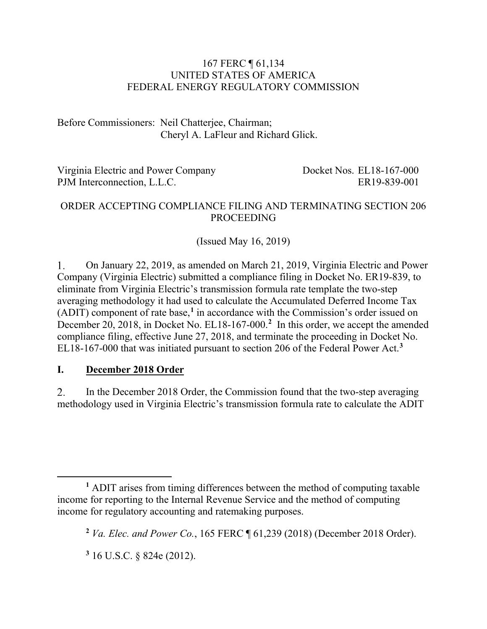#### 167 FERC ¶ 61,134 UNITED STATES OF AMERICA FEDERAL ENERGY REGULATORY COMMISSION

Before Commissioners: Neil Chatterjee, Chairman; Cheryl A. LaFleur and Richard Glick.

| Virginia Electric and Power Company | Docket Nos. EL18-167-000 |
|-------------------------------------|--------------------------|
| PJM Interconnection, L.L.C.         | ER19-839-001             |

#### ORDER ACCEPTING COMPLIANCE FILING AND TERMINATING SECTION 206 PROCEEDING

(Issued May 16, 2019)

On January 22, 2019, as amended on March 21, 2019, Virginia Electric and Power 1. Company (Virginia Electric) submitted a compliance filing in Docket No. ER19-839, to eliminate from Virginia Electric's transmission formula rate template the two-step averaging methodology it had used to calculate the Accumulated Deferred Income Tax (ADIT) component of rate base, **[1](#page-0-0)** in accordance with the Commission's order issued on December [2](#page-0-1)0, 2018, in Docket No. EL18-167-000.<sup>2</sup> In this order, we accept the amended compliance filing, effective June 27, 2018, and terminate the proceeding in Docket No. EL18-167-000 that was initiated pursuant to section 206 of the Federal Power Act.**[3](#page-0-2)**

### **I. December 2018 Order**

2. In the December 2018 Order, the Commission found that the two-step averaging methodology used in Virginia Electric's transmission formula rate to calculate the ADIT

<span id="page-0-1"></span><span id="page-0-0"></span> $\overline{a}$ **<sup>1</sup>** ADIT arises from timing differences between the method of computing taxable income for reporting to the Internal Revenue Service and the method of computing income for regulatory accounting and ratemaking purposes.

**<sup>2</sup>** *Va. Elec. and Power Co.*, 165 FERC ¶ 61,239 (2018) (December 2018 Order).

<span id="page-0-2"></span>**<sup>3</sup>** 16 U.S.C. § 824e (2012).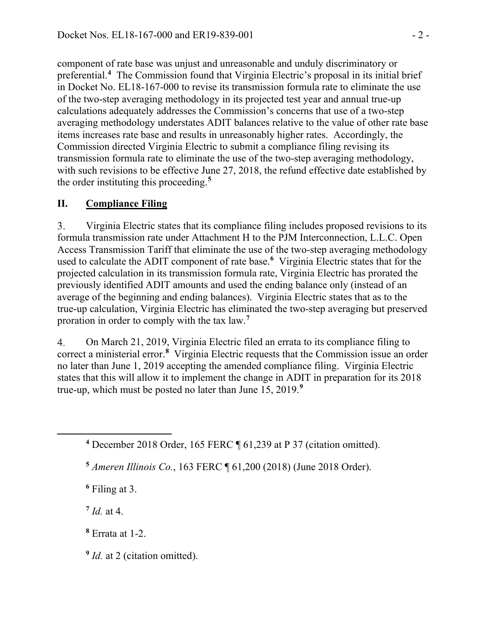component of rate base was unjust and unreasonable and unduly discriminatory or preferential.**[4](#page-1-0)** The Commission found that Virginia Electric's proposal in its initial brief in Docket No. EL18-167-000 to revise its transmission formula rate to eliminate the use of the two-step averaging methodology in its projected test year and annual true-up calculations adequately addresses the Commission's concerns that use of a two-step averaging methodology understates ADIT balances relative to the value of other rate base items increases rate base and results in unreasonably higher rates. Accordingly, the Commission directed Virginia Electric to submit a compliance filing revising its transmission formula rate to eliminate the use of the two-step averaging methodology, with such revisions to be effective June 27, 2018, the refund effective date established by the order instituting this proceeding. **[5](#page-1-1)**

### **II. Compliance Filing**

Virginia Electric states that its compliance filing includes proposed revisions to its 3. formula transmission rate under Attachment H to the PJM Interconnection, L.L.C. Open Access Transmission Tariff that eliminate the use of the two-step averaging methodology used to calculate the ADIT component of rate base.**[6](#page-1-2)** Virginia Electric states that for the projected calculation in its transmission formula rate, Virginia Electric has prorated the previously identified ADIT amounts and used the ending balance only (instead of an average of the beginning and ending balances). Virginia Electric states that as to the true-up calculation, Virginia Electric has eliminated the two-step averaging but preserved proration in order to comply with the tax law.**[7](#page-1-3)**

 $4.$ On March 21, 2019, Virginia Electric filed an errata to its compliance filing to correct a ministerial error.**[8](#page-1-4)** Virginia Electric requests that the Commission issue an order no later than June 1, 2019 accepting the amended compliance filing. Virginia Electric states that this will allow it to implement the change in ADIT in preparation for its 2018 true-up, which must be posted no later than June 15, 2019.**[9](#page-1-5)**

**<sup>6</sup>** Filing at 3.

<span id="page-1-3"></span> $7$  *Id.* at 4.

<span id="page-1-2"></span><span id="page-1-1"></span><span id="page-1-0"></span> $\overline{a}$ 

<span id="page-1-4"></span>**<sup>8</sup>** Errata at 1-2.

<span id="page-1-5"></span>**<sup>9</sup>** *Id.* at 2 (citation omitted).

**<sup>4</sup>** December 2018 Order, 165 FERC ¶ 61,239 at P 37 (citation omitted).

**<sup>5</sup>** *Ameren Illinois Co.*, 163 FERC ¶ 61,200 (2018) (June 2018 Order).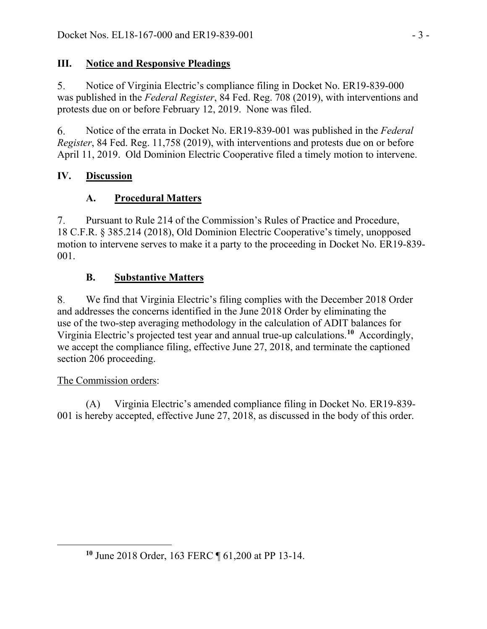## **III. Notice and Responsive Pleadings**

 $5<sub>1</sub>$ Notice of Virginia Electric's compliance filing in Docket No. ER19-839-000 was published in the *Federal Register*, 84 Fed. Reg. 708 (2019), with interventions and protests due on or before February 12, 2019. None was filed.

6. Notice of the errata in Docket No. ER19-839-001 was published in the *Federal Register*, 84 Fed. Reg. 11,758 (2019), with interventions and protests due on or before April 11, 2019. Old Dominion Electric Cooperative filed a timely motion to intervene.

## **IV. Discussion**

# **A. Procedural Matters**

 $7.$ Pursuant to Rule 214 of the Commission's Rules of Practice and Procedure, 18 C.F.R. § 385.214 (2018), Old Dominion Electric Cooperative's timely, unopposed motion to intervene serves to make it a party to the proceeding in Docket No. ER19-839- 001.

# **B. Substantive Matters**

We find that Virginia Electric's filing complies with the December 2018 Order 8. and addresses the concerns identified in the June 2018 Order by eliminating the use of the two-step averaging methodology in the calculation of ADIT balances for Virginia Electric's projected test year and annual true-up calculations.**[10](#page-2-0)** Accordingly, we accept the compliance filing, effective June 27, 2018, and terminate the captioned section 206 proceeding.

## The Commission orders:

<span id="page-2-0"></span> $\overline{a}$ 

(A) Virginia Electric's amended compliance filing in Docket No. ER19-839- 001 is hereby accepted, effective June 27, 2018, as discussed in the body of this order.

**<sup>10</sup>** June 2018 Order, 163 FERC ¶ 61,200 at PP 13-14.